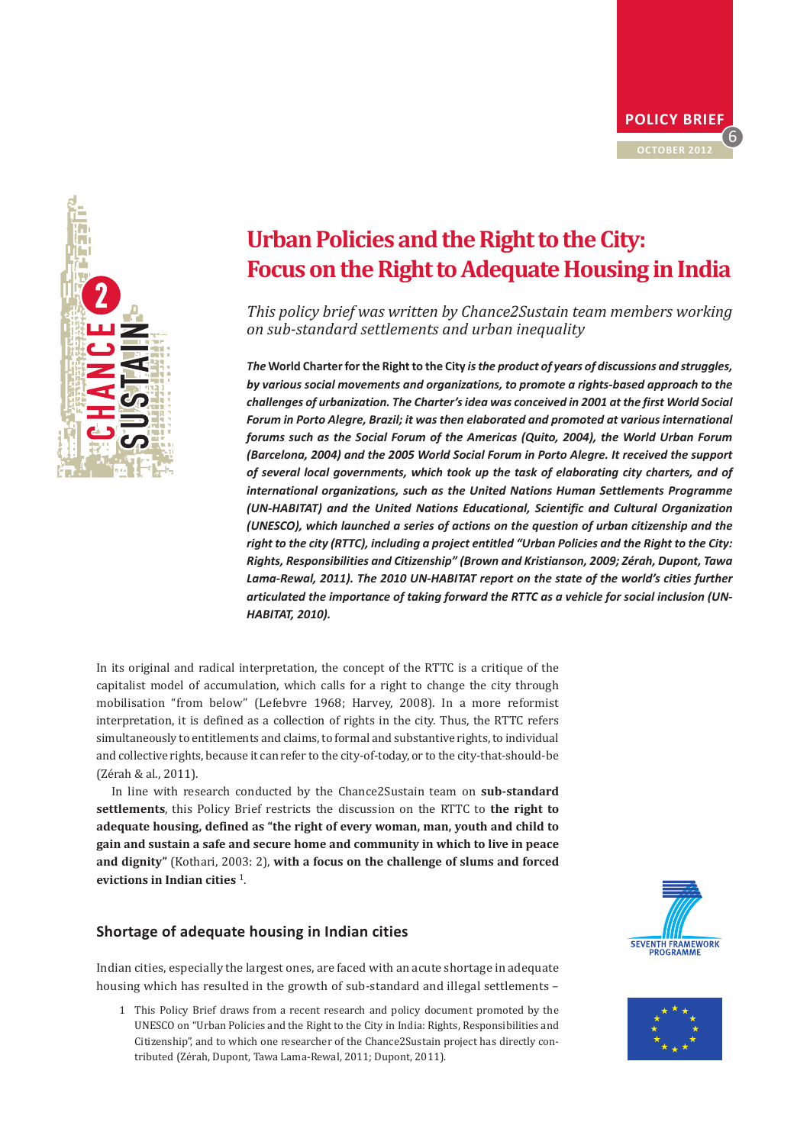



# **Urban Policies and the Right to the City: Focus on the Right to Adequate Housing in India**

*This policy brief was written by Chance2Sustain team members working on sub-standard settlements and urban inequality*

*The* **World Charter for the Right to the City** *is the product of years of discussions and struggles, by various social movements and organizations, to promote a rights-based approach to the challenges of urbanization. The Charter's idea was conceived in 2001 at the first World Social Forum in Porto Alegre, Brazil; it was then elaborated and promoted at various international forums such as the Social Forum of the Americas (Quito, 2004), the World Urban Forum (Barcelona, 2004) and the 2005 World Social Forum in Porto Alegre. It received the support of several local governments, which took up the task of elaborating city charters, and of international organizations, such as the United Nations Human Settlements Programme (UN-HABITAT) and the United Nations Educational, Scientific and Cultural Organization (UNESCO), which launched a series of actions on the question of urban citizenship and the right to the city (RTTC), including a project entitled "Urban Policies and the Right to the City: Rights, Responsibilities and Citizenship" (Brown and Kristianson, 2009; Zérah, Dupont, Tawa Lama-Rewal, 2011). The 2010 UN-HABITAT report on the state of the world's cities further articulated the importance of taking forward the RTTC as a vehicle for social inclusion (UN-HABITAT, 2010).* 

In its original and radical interpretation, the concept of the RTTC is a critique of the capitalist model of accumulation, which calls for a right to change the city through mobilisation "from below" (Lefebvre 1968; Harvey, 2008). In a more reformist interpretation, it is defined as a collection of rights in the city. Thus, the RTTC refers simultaneously to entitlements and claims, to formal and substantive rights, to individual and collective rights, because it can refer to the city-of-today, or to the city-that-should-be (Zérah & al., 2011).

In line with research conducted by the Chance2Sustain team on **sub-standard settlements**, this Policy Brief restricts the discussion on the RTTC to **the right to adequate housing, defined as "the right of every woman, man, youth and child to gain and sustain a safe and secure home and community in which to live in peace and dignity"** (Kothari, 2003: 2), **with a focus on the challenge of slums and forced evictions in Indian cities** 1.

# **Shortage of adequate housing in Indian cities**

Indian cities, especially the largest ones, are faced with an acute shortage in adequate housing which has resulted in the growth of sub-standard and illegal settlements –

1 This Policy Brief draws from a recent research and policy document promoted by the UNESCO on "Urban Policies and the Right to the City in India: Rights, Responsibilities and Citizenship", and to which one researcher of the Chance2Sustain project has directly contributed (Zérah, Dupont, Tawa Lama-Rewal, 2011; Dupont, 2011).



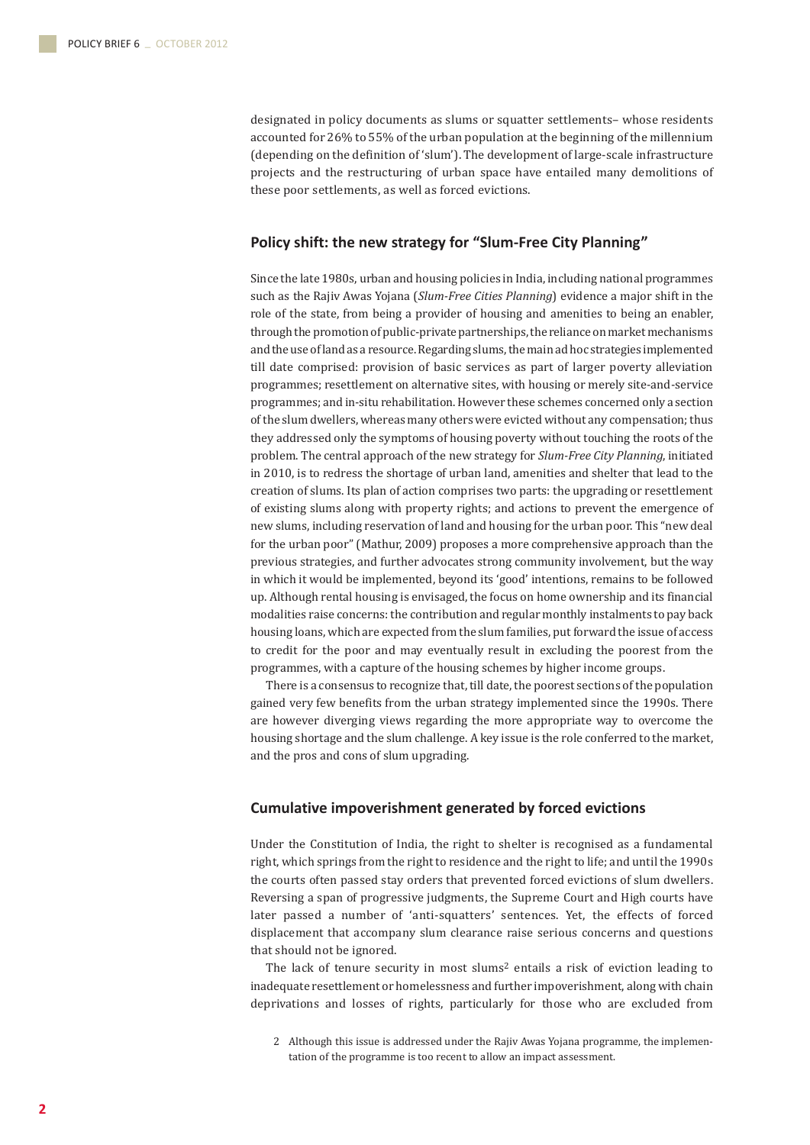designated in policy documents as slums or squatter settlements– whose residents accounted for 26% to 55% of the urban population at the beginning of the millennium (depending on the definition of 'slum'). The development of large-scale infrastructure projects and the restructuring of urban space have entailed many demolitions of these poor settlements, as well as forced evictions.

#### **Policy shift: the new strategy for "Slum-Free City Planning"**

Since the late 1980s, urban and housing policies in India, including national programmes such as the Rajiv Awas Yojana (*Slum-Free Cities Planning*) evidence a major shift in the role of the state, from being a provider of housing and amenities to being an enabler, through the promotion of public-private partnerships, the reliance on market mechanisms and the use of land as a resource. Regarding slums, the main ad hoc strategies implemented till date comprised: provision of basic services as part of larger poverty alleviation programmes; resettlement on alternative sites, with housing or merely site-and-service programmes; and in-situ rehabilitation. However these schemes concerned only a section of the slum dwellers, whereas many others were evicted without any compensation; thus they addressed only the symptoms of housing poverty without touching the roots of the problem. The central approach of the new strategy for *Slum-Free City Planning*, initiated in 2010, is to redress the shortage of urban land, amenities and shelter that lead to the creation of slums. Its plan of action comprises two parts: the upgrading or resettlement of existing slums along with property rights; and actions to prevent the emergence of new slums, including reservation of land and housing for the urban poor. This "new deal for the urban poor" (Mathur, 2009) proposes a more comprehensive approach than the previous strategies, and further advocates strong community involvement, but the way in which it would be implemented, beyond its 'good' intentions, remains to be followed up. Although rental housing is envisaged, the focus on home ownership and its financial modalities raise concerns: the contribution and regular monthly instalments to pay back housing loans, which are expected from the slum families, put forward the issue of access to credit for the poor and may eventually result in excluding the poorest from the programmes, with a capture of the housing schemes by higher income groups.

There is a consensus to recognize that, till date, the poorest sections of the population gained very few benefits from the urban strategy implemented since the 1990s. There are however diverging views regarding the more appropriate way to overcome the housing shortage and the slum challenge. A key issue is the role conferred to the market, and the pros and cons of slum upgrading.

### **Cumulative impoverishment generated by forced evictions**

Under the Constitution of India, the right to shelter is recognised as a fundamental right, which springs from the right to residence and the right to life; and until the 1990s the courts often passed stay orders that prevented forced evictions of slum dwellers. Reversing a span of progressive judgments, the Supreme Court and High courts have later passed a number of 'anti-squatters' sentences. Yet, the effects of forced displacement that accompany slum clearance raise serious concerns and questions that should not be ignored.

The lack of tenure security in most slums<sup>2</sup> entails a risk of eviction leading to inadequate resettlement or homelessness and further impoverishment, along with chain deprivations and losses of rights, particularly for those who are excluded from

<sup>2</sup> Although this issue is addressed under the Rajiv Awas Yojana programme, the implementation of the programme is too recent to allow an impact assessment.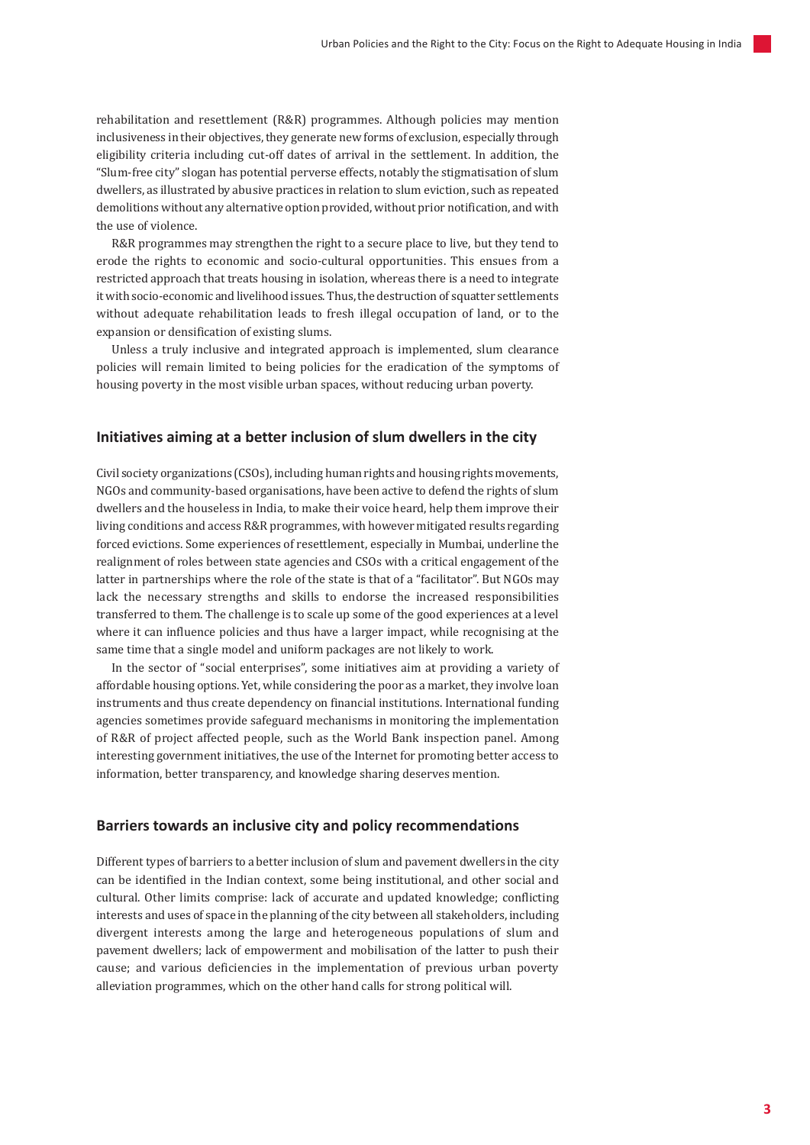rehabilitation and resettlement (R&R) programmes. Although policies may mention inclusiveness in their objectives, they generate new forms of exclusion, especially through eligibility criteria including cut-off dates of arrival in the settlement. In addition, the "Slum-free city" slogan has potential perverse effects, notably the stigmatisation of slum dwellers, as illustrated by abusive practices in relation to slum eviction, such as repeated demolitions without any alternative option provided, without prior notification, and with the use of violence.

R&R programmes may strengthen the right to a secure place to live, but they tend to erode the rights to economic and socio-cultural opportunities. This ensues from a restricted approach that treats housing in isolation, whereas there is a need to integrate it with socio-economic and livelihood issues. Thus, the destruction of squatter settlements without adequate rehabilitation leads to fresh illegal occupation of land, or to the expansion or densification of existing slums.

Unless a truly inclusive and integrated approach is implemented, slum clearance policies will remain limited to being policies for the eradication of the symptoms of housing poverty in the most visible urban spaces, without reducing urban poverty.

#### **Initiatives aiming at a better inclusion of slum dwellers in the city**

Civil society organizations (CSOs), including human rights and housing rights movements, NGOs and community-based organisations, have been active to defend the rights of slum dwellers and the houseless in India, to make their voice heard, help them improve their living conditions and access R&R programmes, with however mitigated results regarding forced evictions. Some experiences of resettlement, especially in Mumbai, underline the realignment of roles between state agencies and CSOs with a critical engagement of the latter in partnerships where the role of the state is that of a "facilitator". But NGOs may lack the necessary strengths and skills to endorse the increased responsibilities transferred to them. The challenge is to scale up some of the good experiences at a level where it can influence policies and thus have a larger impact, while recognising at the same time that a single model and uniform packages are not likely to work.

In the sector of "social enterprises", some initiatives aim at providing a variety of affordable housing options. Yet, while considering the poor as a market, they involve loan instruments and thus create dependency on financial institutions. International funding agencies sometimes provide safeguard mechanisms in monitoring the implementation of R&R of project affected people, such as the World Bank inspection panel. Among interesting government initiatives, the use of the Internet for promoting better access to information, better transparency, and knowledge sharing deserves mention.

#### **Barriers towards an inclusive city and policy recommendations**

Different types of barriers to a better inclusion of slum and pavement dwellers in the city can be identified in the Indian context, some being institutional, and other social and cultural. Other limits comprise: lack of accurate and updated knowledge; conflicting interests and uses of space in the planning of the city between all stakeholders, including divergent interests among the large and heterogeneous populations of slum and pavement dwellers; lack of empowerment and mobilisation of the latter to push their cause; and various deficiencies in the implementation of previous urban poverty alleviation programmes, which on the other hand calls for strong political will.